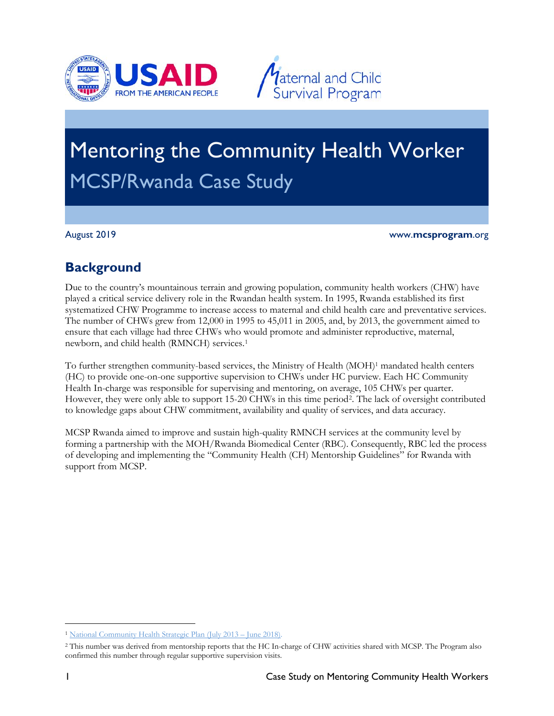



# Mentoring the Community Health Worker MCSP/Rwanda Case Study

August 2019 www.**mcsprogram**.org

# **Background**

Due to the country's mountainous terrain and growing population, community health workers (CHW) have played a critical service delivery role in the Rwandan health system. In 1995, Rwanda established its first systematized CHW Programme to increase access to maternal and child health care and preventative services. The number of CHWs grew from 12,000 in 1995 to 45,011 in 2005, and, by 2013, the government aimed to ensure that each village had three CHWs who would promote and administer reproductive, maternal, newborn, and child health (RMNCH) services.[1](#page-0-0)

To further strengthen community-based services, the Ministry of Health (MOH)<sup>1</sup> mandated health centers (HC) to provide one-on-one supportive supervision to CHWs under HC purview. Each HC Community Health In-charge was responsible for supervising and mentoring, on average, 105 CHWs per quarter. However, they were only able to support 15-[2](#page-0-1)0 CHWs in this time period<sup>2</sup>. The lack of oversight contributed to knowledge gaps about CHW commitment, availability and quality of services, and data accuracy.

MCSP Rwanda aimed to improve and sustain high-quality RMNCH services at the community level by forming a partnership with the MOH/Rwanda Biomedical Center (RBC). Consequently, RBC led the process of developing and implementing the "Community Health (CH) Mentorship Guidelines" for Rwanda with support from MCSP.

 $\overline{a}$ 

<span id="page-0-0"></span><sup>1</sup> [National Community Health Strategic Plan \(July 2013 –](http://www.moh.gov.rw/fileadmin/templates/CHD_Docs/CHD-Strategic_plan.pdf) June 2018).

<span id="page-0-1"></span><sup>2</sup> This number was derived from mentorship reports that the HC In-charge of CHW activities shared with MCSP. The Program also confirmed this number through regular supportive supervision visits.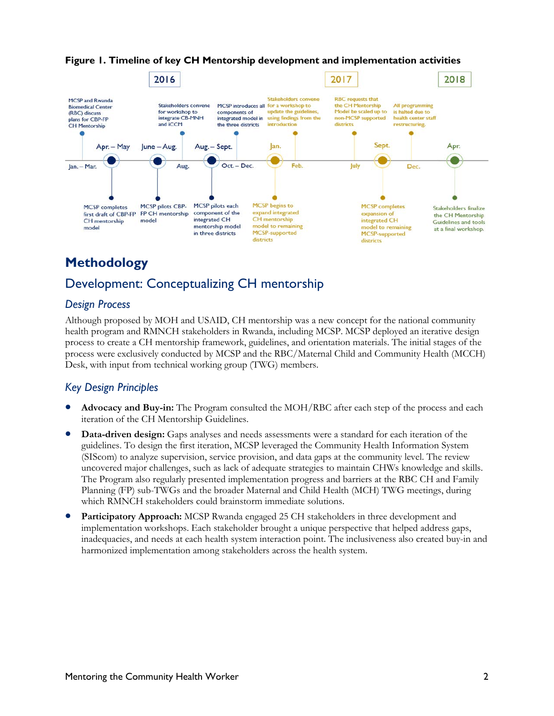

**Figure 1. Timeline of key CH Mentorship development and implementation activities**

# **Methodology**

# Development: Conceptualizing CH mentorship

#### *Design Process*

Although proposed by MOH and USAID, CH mentorship was a new concept for the national community health program and RMNCH stakeholders in Rwanda, including MCSP. MCSP deployed an iterative design process to create a CH mentorship framework, guidelines, and orientation materials. The initial stages of the process were exclusively conducted by MCSP and the RBC/Maternal Child and Community Health (MCCH) Desk, with input from technical working group (TWG) members.

### *Key Design Principles*

- **Advocacy and Buy-in:** The Program consulted the MOH/RBC after each step of the process and each iteration of the CH Mentorship Guidelines.
- **Data-driven design:** Gaps analyses and needs assessments were a standard for each iteration of the guidelines. To design the first iteration, MCSP leveraged the Community Health Information System (SIScom) to analyze supervision, service provision, and data gaps at the community level. The review uncovered major challenges, such as lack of adequate strategies to maintain CHWs knowledge and skills. The Program also regularly presented implementation progress and barriers at the RBC CH and Family Planning (FP) sub-TWGs and the broader Maternal and Child Health (MCH) TWG meetings, during which RMNCH stakeholders could brainstorm immediate solutions.
- **Participatory Approach:** MCSP Rwanda engaged 25 CH stakeholders in three development and implementation workshops. Each stakeholder brought a unique perspective that helped address gaps, inadequacies, and needs at each health system interaction point. The inclusiveness also created buy-in and harmonized implementation among stakeholders across the health system.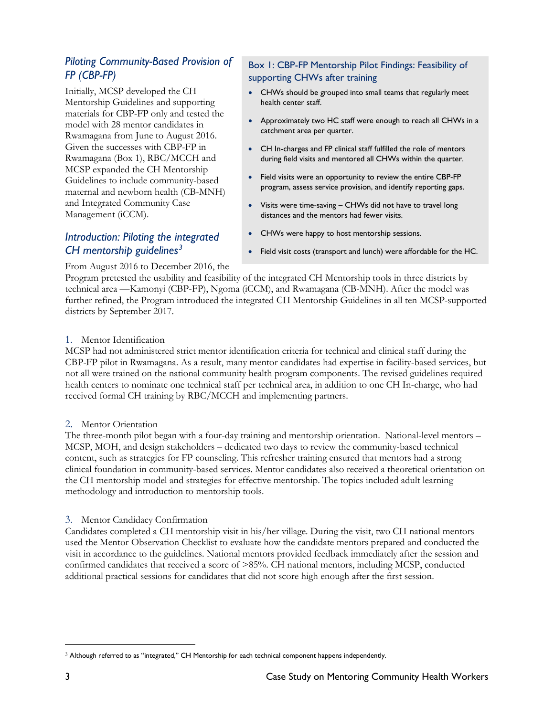### *Piloting Community-Based Provision of FP (CBP-FP)*

Initially, MCSP developed the CH Mentorship Guidelines and supporting materials for CBP-FP only and tested the model with 28 mentor candidates in Rwamagana from June to August 2016. Given the successes with CBP-FP in Rwamagana (Box 1), RBC/MCCH and MCSP expanded the CH Mentorship Guidelines to include community-based maternal and newborn health (CB-MNH) and Integrated Community Case Management (iCCM).

### *Introduction: Piloting the integrated CH mentorship guidelines[3](#page-2-0)*

#### Box 1: CBP-FP Mentorship Pilot Findings: Feasibility of supporting CHWs after training

- CHWs should be grouped into small teams that regularly meet health center staff.
- Approximately two HC staff were enough to reach all CHWs in a catchment area per quarter.
- CH In-charges and FP clinical staff fulfilled the role of mentors during field visits and mentored all CHWs within the quarter.
- Field visits were an opportunity to review the entire CBP-FP program, assess service provision, and identify reporting gaps.
- Visits were time-saving CHWs did not have to travel long distances and the mentors had fewer visits.
- CHWs were happy to host mentorship sessions.
- Field visit costs (transport and lunch) were affordable for the HC.

#### From August 2016 to December 2016, the

Program pretested the usability and feasibility of the integrated CH Mentorship tools in three districts by technical area —Kamonyi (CBP-FP), Ngoma (iCCM), and Rwamagana (CB-MNH). After the model was further refined, the Program introduced the integrated CH Mentorship Guidelines in all ten MCSP-supported districts by September 2017.

#### 1. Mentor Identification

MCSP had not administered strict mentor identification criteria for technical and clinical staff during the CBP-FP pilot in Rwamagana. As a result, many mentor candidates had expertise in facility-based services, but not all were trained on the national community health program components. The revised guidelines required health centers to nominate one technical staff per technical area, in addition to one CH In-charge, who had received formal CH training by RBC/MCCH and implementing partners.

#### 2. Mentor Orientation

The three-month pilot began with a four-day training and mentorship orientation. National-level mentors – MCSP, MOH, and design stakeholders – dedicated two days to review the community-based technical content, such as strategies for FP counseling. This refresher training ensured that mentors had a strong clinical foundation in community-based services. Mentor candidates also received a theoretical orientation on the CH mentorship model and strategies for effective mentorship. The topics included adult learning methodology and introduction to mentorship tools.

#### 3. Mentor Candidacy Confirmation

Candidates completed a CH mentorship visit in his/her village. During the visit, two CH national mentors used the Mentor Observation Checklist to evaluate how the candidate mentors prepared and conducted the visit in accordance to the guidelines. National mentors provided feedback immediately after the session and confirmed candidates that received a score of >85%. CH national mentors, including MCSP, conducted additional practical sessions for candidates that did not score high enough after the first session.

 $\overline{a}$ 

<span id="page-2-0"></span><sup>&</sup>lt;sup>3</sup> Although referred to as "integrated," CH Mentorship for each technical component happens independently.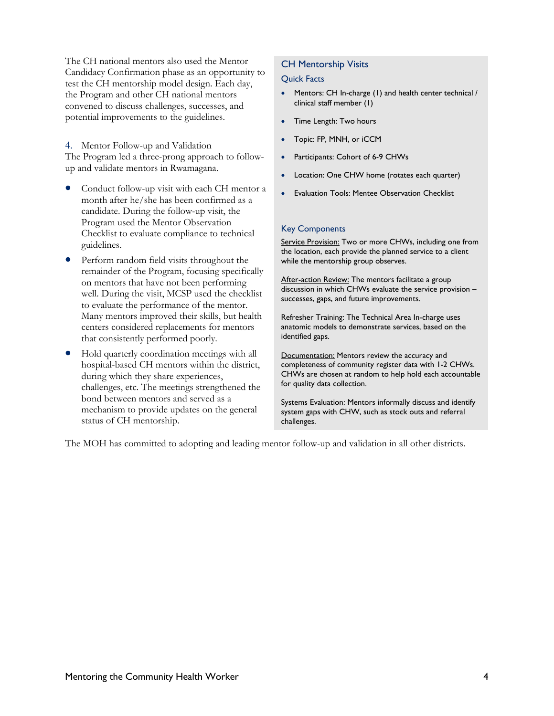The CH national mentors also used the Mentor Candidacy Confirmation phase as an opportunity to test the CH mentorship model design. Each day, the Program and other CH national mentors convened to discuss challenges, successes, and potential improvements to the guidelines.

4. Mentor Follow-up and Validation The Program led a three-prong approach to followup and validate mentors in Rwamagana.

- Conduct follow-up visit with each CH mentor a month after he/she has been confirmed as a candidate. During the follow-up visit, the Program used the Mentor Observation Checklist to evaluate compliance to technical guidelines.
- Perform random field visits throughout the remainder of the Program, focusing specifically on mentors that have not been performing well. During the visit, MCSP used the checklist to evaluate the performance of the mentor. Many mentors improved their skills, but health centers considered replacements for mentors that consistently performed poorly.
- Hold quarterly coordination meetings with all hospital-based CH mentors within the district, during which they share experiences, challenges, etc. The meetings strengthened the bond between mentors and served as a mechanism to provide updates on the general status of CH mentorship.

#### CH Mentorship Visits

#### Quick Facts

- Mentors: CH In-charge (1) and health center technical / clinical staff member (1)
- Time Length: Two hours
- Topic: FP, MNH, or iCCM
- Participants: Cohort of 6-9 CHWs
- Location: One CHW home (rotates each quarter)
- Evaluation Tools: Mentee Observation Checklist

#### Key Components

Service Provision: Two or more CHWs, including one from the location, each provide the planned service to a client while the mentorship group observes.

After-action Review: The mentors facilitate a group discussion in which CHWs evaluate the service provision – successes, gaps, and future improvements.

Refresher Training: The Technical Area In-charge uses anatomic models to demonstrate services, based on the identified gaps.

Documentation: Mentors review the accuracy and completeness of community register data with 1-2 CHWs. CHWs are chosen at random to help hold each accountable for quality data collection.

Systems Evaluation: Mentors informally discuss and identify system gaps with CHW, such as stock outs and referral challenges.

The MOH has committed to adopting and leading mentor follow-up and validation in all other districts.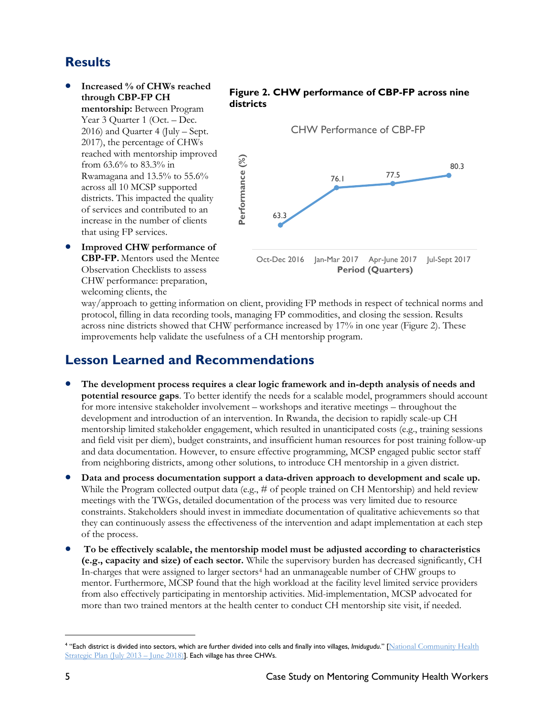# **Results**

• **Increased % of CHWs reached through CBP-FP CH mentorship:** Between Program Year 3 Quarter 1 (Oct. – Dec. 2016) and Quarter 4 (July – Sept. 2017), the percentage of CHWs reached with mentorship improved from 63.6% to 83.3% in Rwamagana and 13.5% to 55.6% across all 10 MCSP supported districts. This impacted the quality of services and contributed to an increase in the number of clients that using FP services.

#### **Figure 2. CHW performance of CBP-FP across nine districts**



• **Improved CHW performance of CBP-FP.** Mentors used the Mentee Observation Checklists to assess CHW performance: preparation, welcoming clients, the

way/approach to getting information on client, providing FP methods in respect of technical norms and protocol, filling in data recording tools, managing FP commodities, and closing the session. Results across nine districts showed that CHW performance increased by 17% in one year (Figure 2). These improvements help validate the usefulness of a CH mentorship program.

### **Lesson Learned and Recommendations**

- **The development process requires a clear logic framework and in-depth analysis of needs and potential resource gaps**. To better identify the needs for a scalable model, programmers should account for more intensive stakeholder involvement – workshops and iterative meetings – throughout the development and introduction of an intervention. In Rwanda, the decision to rapidly scale-up CH mentorship limited stakeholder engagement, which resulted in unanticipated costs (e.g., training sessions and field visit per diem), budget constraints, and insufficient human resources for post training follow-up and data documentation. However, to ensure effective programming, MCSP engaged public sector staff from neighboring districts, among other solutions, to introduce CH mentorship in a given district.
- **Data and process documentation support a data-driven approach to development and scale up.**  While the Program collected output data (e.g., # of people trained on CH Mentorship) and held review meetings with the TWGs, detailed documentation of the process was very limited due to resource constraints. Stakeholders should invest in immediate documentation of qualitative achievements so that they can continuously assess the effectiveness of the intervention and adapt implementation at each step of the process.
- **To be effectively scalable, the mentorship model must be adjusted according to characteristics (e.g., capacity and size) of each sector.** While the supervisory burden has decreased significantly, CH In-charges that were assigned to larger sectors<sup>4</sup> had an unmanageable number of CHW groups to mentor. Furthermore, MCSP found that the high workload at the facility level limited service providers from also effectively participating in mentorship activities. Mid-implementation, MCSP advocated for more than two trained mentors at the health center to conduct CH mentorship site visit, if needed.

 $\overline{a}$ 

<span id="page-4-0"></span><sup>&</sup>lt;sup>4</sup> "Each district is divided into sectors, which are further divided into cells and finally into villages, Imidugudu." [National Community Health] [Strategic Plan \(July 2013 –](http://www.moh.gov.rw/fileadmin/templates/CHD_Docs/CHD-Strategic_plan.pdf) June 2018)]. Each village has three CHWs.